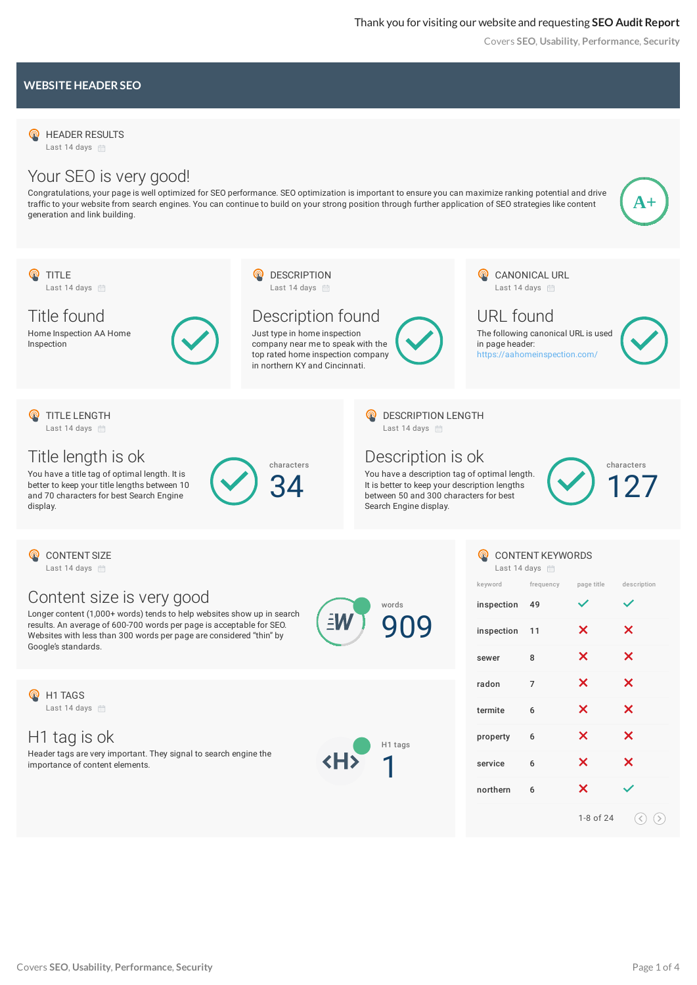Covers **SEO**, **Usability**, **Performance**, **Security**

#### **WEBSITE HEADERSEO**

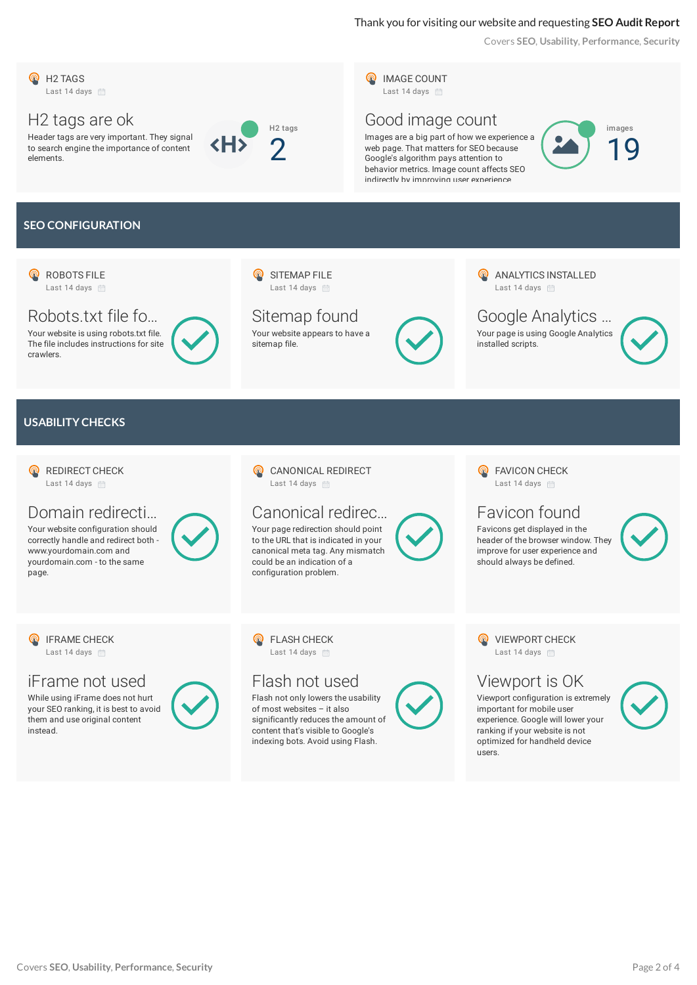# Thank you for visiting our website and requesting **SEO Audit Report**

Covers **SEO**, **Usability**, **Performance**, **Security**

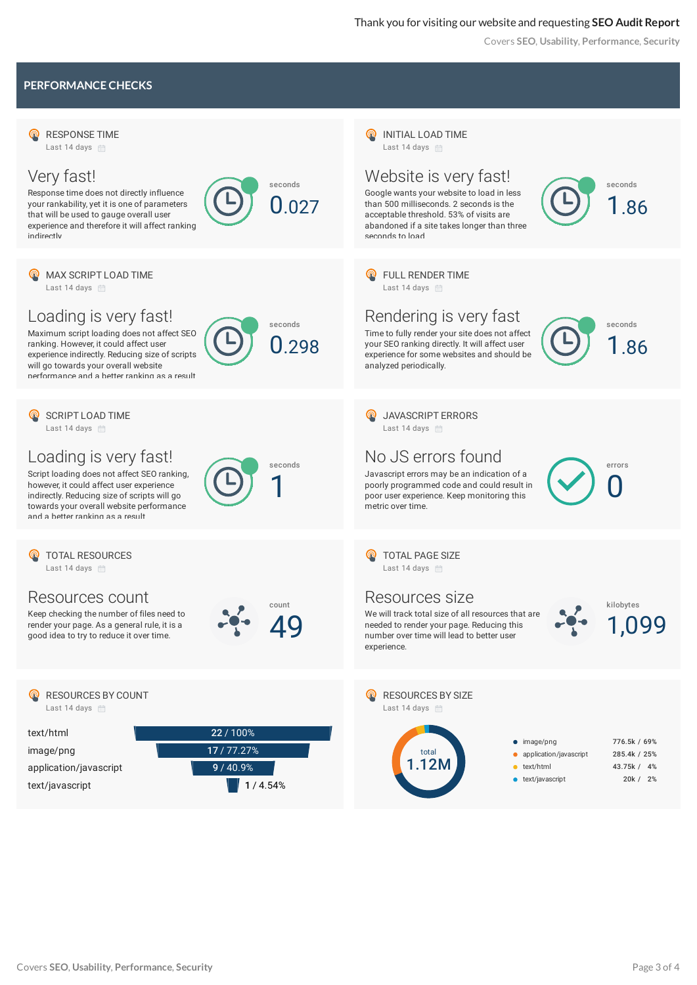### Thank you for visiting our website and requesting **SEO Audit Report**

Covers **SEO**, **Usability**, **Performance**, **Security**